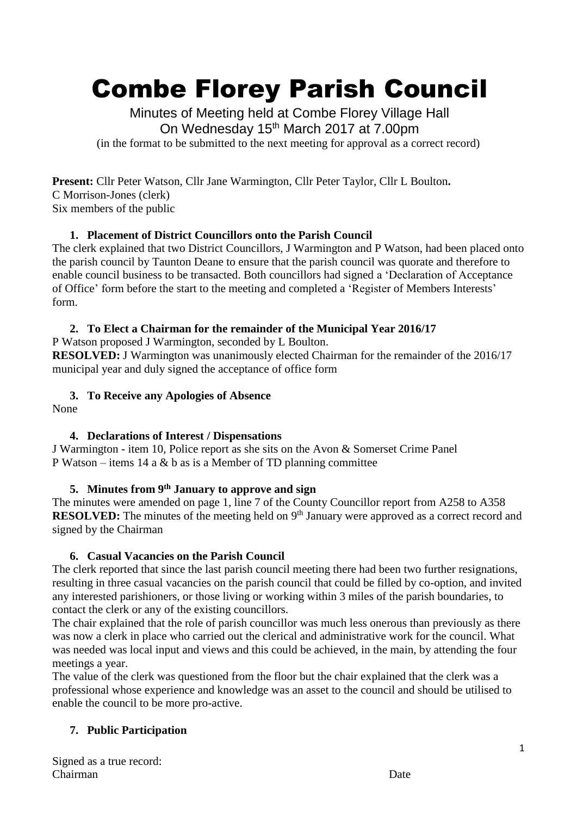# Combe Florey Parish Council

Minutes of Meeting held at Combe Florey Village Hall On Wednesday 15<sup>th</sup> March 2017 at 7.00pm (in the format to be submitted to the next meeting for approval as a correct record)

**Present:** Cllr Peter Watson, Cllr Jane Warmington, Cllr Peter Taylor, Cllr L Boulton**.**  C Morrison-Jones (clerk) Six members of the public

# **1. Placement of District Councillors onto the Parish Council**

The clerk explained that two District Councillors, J Warmington and P Watson, had been placed onto the parish council by Taunton Deane to ensure that the parish council was quorate and therefore to enable council business to be transacted. Both councillors had signed a 'Declaration of Acceptance of Office' form before the start to the meeting and completed a 'Register of Members Interests' form.

# **2. To Elect a Chairman for the remainder of the Municipal Year 2016/17**

P Watson proposed J Warmington, seconded by L Boulton.

**RESOLVED:** J Warmington was unanimously elected Chairman for the remainder of the 2016/17 municipal year and duly signed the acceptance of office form

### **3. To Receive any Apologies of Absence**

None

# **4. Declarations of Interest / Dispensations**

J Warmington - item 10, Police report as she sits on the Avon & Somerset Crime Panel P Watson – items 14 a  $\&$  b as is a Member of TD planning committee

# **5. Minutes from 9th January to approve and sign**

The minutes were amended on page 1, line 7 of the County Councillor report from A258 to A358 **RESOLVED:** The minutes of the meeting held on 9<sup>th</sup> January were approved as a correct record and signed by the Chairman

# **6. Casual Vacancies on the Parish Council**

The clerk reported that since the last parish council meeting there had been two further resignations, resulting in three casual vacancies on the parish council that could be filled by co-option, and invited any interested parishioners, or those living or working within 3 miles of the parish boundaries, to contact the clerk or any of the existing councillors.

The chair explained that the role of parish councillor was much less onerous than previously as there was now a clerk in place who carried out the clerical and administrative work for the council. What was needed was local input and views and this could be achieved, in the main, by attending the four meetings a year.

The value of the clerk was questioned from the floor but the chair explained that the clerk was a professional whose experience and knowledge was an asset to the council and should be utilised to enable the council to be more pro-active.

# **7. Public Participation**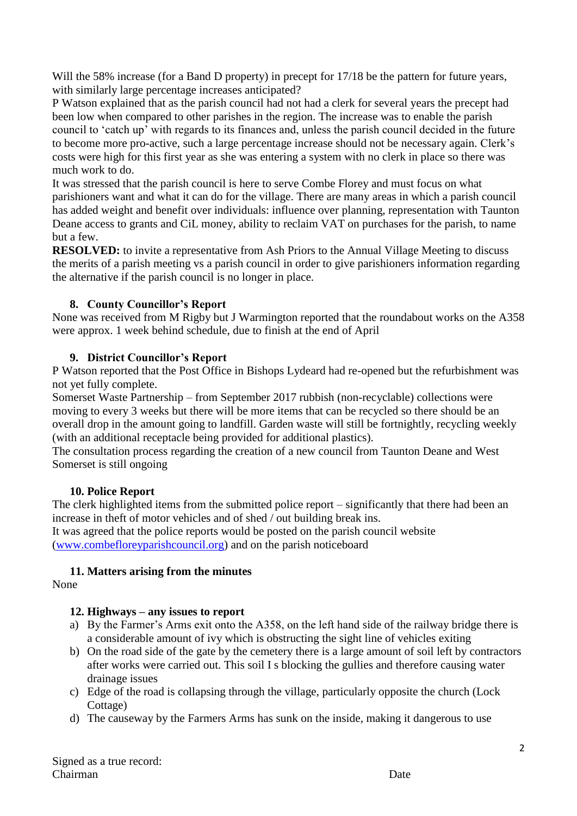Will the 58% increase (for a Band D property) in precept for  $17/18$  be the pattern for future years, with similarly large percentage increases anticipated?

P Watson explained that as the parish council had not had a clerk for several years the precept had been low when compared to other parishes in the region. The increase was to enable the parish council to 'catch up' with regards to its finances and, unless the parish council decided in the future to become more pro-active, such a large percentage increase should not be necessary again. Clerk's costs were high for this first year as she was entering a system with no clerk in place so there was much work to do.

It was stressed that the parish council is here to serve Combe Florey and must focus on what parishioners want and what it can do for the village. There are many areas in which a parish council has added weight and benefit over individuals: influence over planning, representation with Taunton Deane access to grants and CiL money, ability to reclaim VAT on purchases for the parish, to name but a few.

**RESOLVED:** to invite a representative from Ash Priors to the Annual Village Meeting to discuss the merits of a parish meeting vs a parish council in order to give parishioners information regarding the alternative if the parish council is no longer in place.

#### **8. County Councillor's Report**

None was received from M Rigby but J Warmington reported that the roundabout works on the A358 were approx. 1 week behind schedule, due to finish at the end of April

#### **9. District Councillor's Report**

P Watson reported that the Post Office in Bishops Lydeard had re-opened but the refurbishment was not yet fully complete.

Somerset Waste Partnership – from September 2017 rubbish (non-recyclable) collections were moving to every 3 weeks but there will be more items that can be recycled so there should be an overall drop in the amount going to landfill. Garden waste will still be fortnightly, recycling weekly (with an additional receptacle being provided for additional plastics).

The consultation process regarding the creation of a new council from Taunton Deane and West Somerset is still ongoing

#### **10. Police Report**

The clerk highlighted items from the submitted police report – significantly that there had been an increase in theft of motor vehicles and of shed / out building break ins. It was agreed that the police reports would be posted on the parish council website [\(www.combefloreyparishcouncil.org\)](http://www.combefloreyparishcouncil.org/) and on the parish noticeboard

#### **11. Matters arising from the minutes**

None

#### **12. Highways – any issues to report**

- a) By the Farmer's Arms exit onto the A358, on the left hand side of the railway bridge there is a considerable amount of ivy which is obstructing the sight line of vehicles exiting
- b) On the road side of the gate by the cemetery there is a large amount of soil left by contractors after works were carried out. This soil I s blocking the gullies and therefore causing water drainage issues
- c) Edge of the road is collapsing through the village, particularly opposite the church (Lock Cottage)
- d) The causeway by the Farmers Arms has sunk on the inside, making it dangerous to use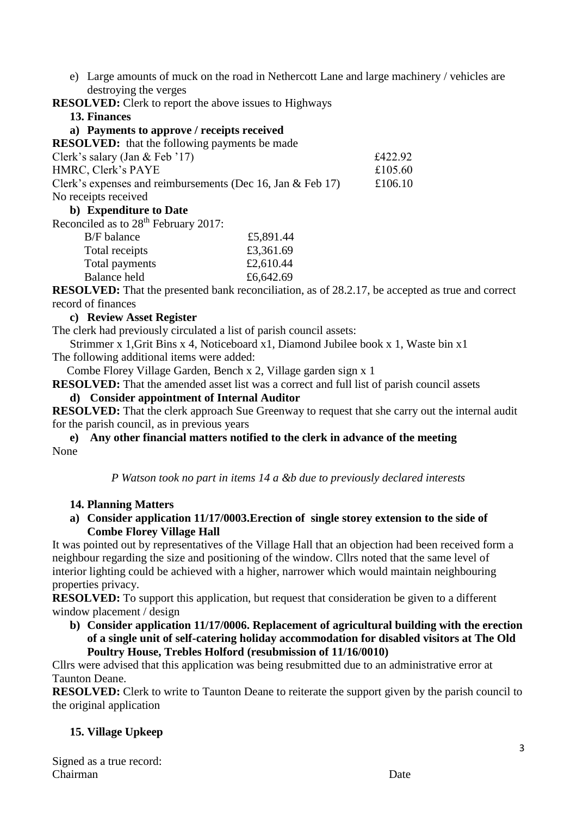e) Large amounts of muck on the road in Nethercott Lane and large machinery / vehicles are destroying the verges

**RESOLVED:** Clerk to report the above issues to Highways

| 13. Finances |
|--------------|
|--------------|

| a) Payments to approve / receipts received                            |         |
|-----------------------------------------------------------------------|---------|
| <b>RESOLVED:</b> that the following payments be made                  |         |
| Clerk's salary (Jan & Feb $'17$ )                                     | £422.92 |
| HMRC, Clerk's PAYE                                                    | £105.60 |
| Clerk's expenses and reimbursements (Dec 16, Jan $& \text{Feb } 17$ ) | £106.10 |

No receipts received

#### **b) Expenditure to Date**

Reconciled as to 28<sup>th</sup> February 2017:

| £5,891.44 |
|-----------|
| £3,361.69 |
| £2,610.44 |
| £6,642.69 |
|           |

**RESOLVED:** That the presented bank reconciliation, as of 28.2.17, be accepted as true and correct record of finances

#### **c) Review Asset Register**

The clerk had previously circulated a list of parish council assets:

 Strimmer x 1,Grit Bins x 4, Noticeboard x1, Diamond Jubilee book x 1, Waste bin x1 The following additional items were added:

Combe Florey Village Garden, Bench x 2, Village garden sign x 1

**RESOLVED:** That the amended asset list was a correct and full list of parish council assets

#### **d) Consider appointment of Internal Auditor**

**RESOLVED:** That the clerk approach Sue Greenway to request that she carry out the internal audit for the parish council, as in previous years

#### **e) Any other financial matters notified to the clerk in advance of the meeting** None

*P Watson took no part in items 14 a &b due to previously declared interests*

#### **14. Planning Matters**

**a) Consider application 11/17/0003.Erection of single storey extension to the side of Combe Florey Village Hall** 

It was pointed out by representatives of the Village Hall that an objection had been received form a neighbour regarding the size and positioning of the window. Cllrs noted that the same level of interior lighting could be achieved with a higher, narrower which would maintain neighbouring properties privacy.

**RESOLVED:** To support this application, but request that consideration be given to a different window placement / design

**b) Consider application 11/17/0006. Replacement of agricultural building with the erection of a single unit of self-catering holiday accommodation for disabled visitors at The Old Poultry House, Trebles Holford (resubmission of 11/16/0010)**

Cllrs were advised that this application was being resubmitted due to an administrative error at Taunton Deane.

**RESOLVED:** Clerk to write to Taunton Deane to reiterate the support given by the parish council to the original application

# **15. Village Upkeep**